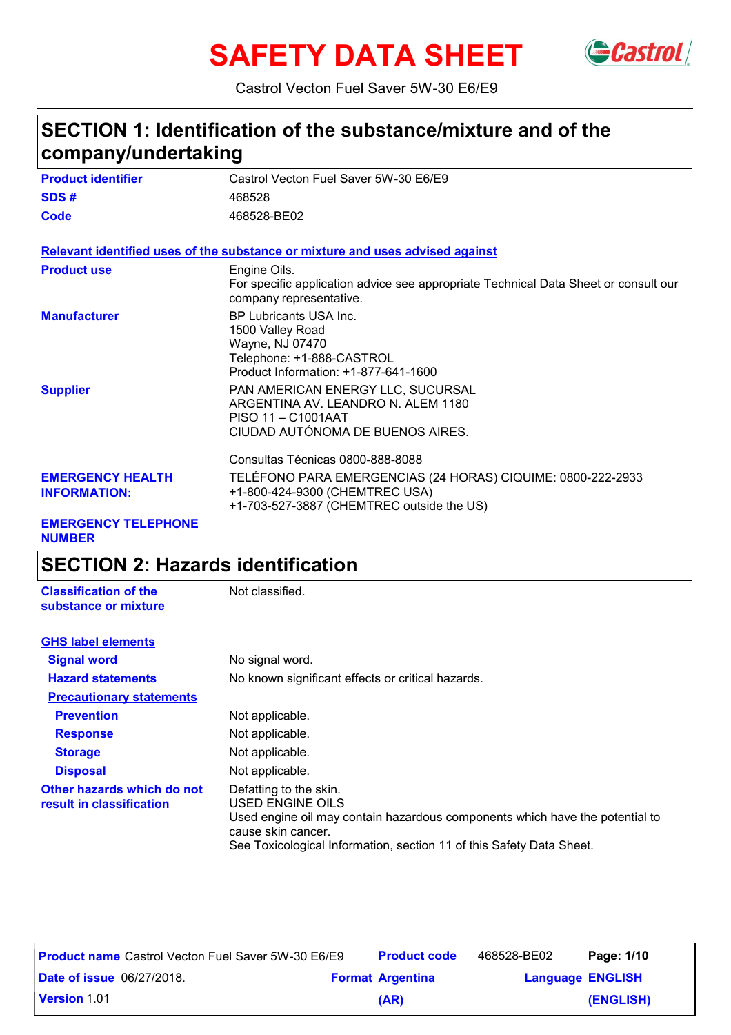# SAFETY DATA SHEET Gastrol



Castrol Vecton Fuel Saver 5W-30 E6/E9

# **SECTION 1: Identification of the substance/mixture and of the company/undertaking**

| <b>Product identifier</b>                      | Castrol Vecton Fuel Saver 5W-30 E6/E9                                                                                                      |
|------------------------------------------------|--------------------------------------------------------------------------------------------------------------------------------------------|
| SDS#                                           | 468528                                                                                                                                     |
| Code                                           | 468528-BE02                                                                                                                                |
|                                                | Relevant identified uses of the substance or mixture and uses advised against                                                              |
| <b>Product use</b>                             | Engine Oils.<br>For specific application advice see appropriate Technical Data Sheet or consult our<br>company representative.             |
| <b>Manufacturer</b>                            | BP Lubricants USA Inc.<br>1500 Valley Road<br>Wayne, NJ 07470<br>Telephone: +1-888-CASTROL<br>Product Information: +1-877-641-1600         |
| <b>Supplier</b>                                | PAN AMERICAN ENERGY LLC, SUCURSAL<br>ARGENTINA AV. LEANDRO N. ALEM 1180<br>PISO 11 - C1001AAT<br>CIUDAD AUTÓNOMA DE BUENOS AIRES.          |
|                                                | Consultas Técnicas 0800-888-8088                                                                                                           |
| <b>EMERGENCY HEALTH</b><br><b>INFORMATION:</b> | TELÉFONO PARA EMERGENCIAS (24 HORAS) CIQUIME: 0800-222-2933<br>+1-800-424-9300 (CHEMTREC USA)<br>+1-703-527-3887 (CHEMTREC outside the US) |
| FMFRAENAV TELEBUANE                            |                                                                                                                                            |

### **EMERGENCY TELEPHONE NUMBER**

# **SECTION 2: Hazards identification**

| <b>Classification of the</b><br>substance or mixture   | Not classified.                                                                                                                                                                                                          |
|--------------------------------------------------------|--------------------------------------------------------------------------------------------------------------------------------------------------------------------------------------------------------------------------|
| <b>GHS label elements</b>                              |                                                                                                                                                                                                                          |
| <b>Signal word</b>                                     | No signal word.                                                                                                                                                                                                          |
| <b>Hazard statements</b>                               | No known significant effects or critical hazards.                                                                                                                                                                        |
| <b>Precautionary statements</b>                        |                                                                                                                                                                                                                          |
| <b>Prevention</b>                                      | Not applicable.                                                                                                                                                                                                          |
| <b>Response</b>                                        | Not applicable.                                                                                                                                                                                                          |
| <b>Storage</b>                                         | Not applicable.                                                                                                                                                                                                          |
| <b>Disposal</b>                                        | Not applicable.                                                                                                                                                                                                          |
| Other hazards which do not<br>result in classification | Defatting to the skin.<br>USED ENGINE OILS<br>Used engine oil may contain hazardous components which have the potential to<br>cause skin cancer.<br>See Toxicological Information, section 11 of this Safety Data Sheet. |

| <b>Product name</b> Castrol Vecton Fuel Saver 5W-30 E6/E9 | <b>Product code</b>     | 468528-BE02             | Page: 1/10 |
|-----------------------------------------------------------|-------------------------|-------------------------|------------|
| <b>Date of issue 06/27/2018.</b>                          | <b>Format Argentina</b> | <b>Language ENGLISH</b> |            |
| <b>Version 1.01</b>                                       | (AR)                    |                         | (ENGLISH)  |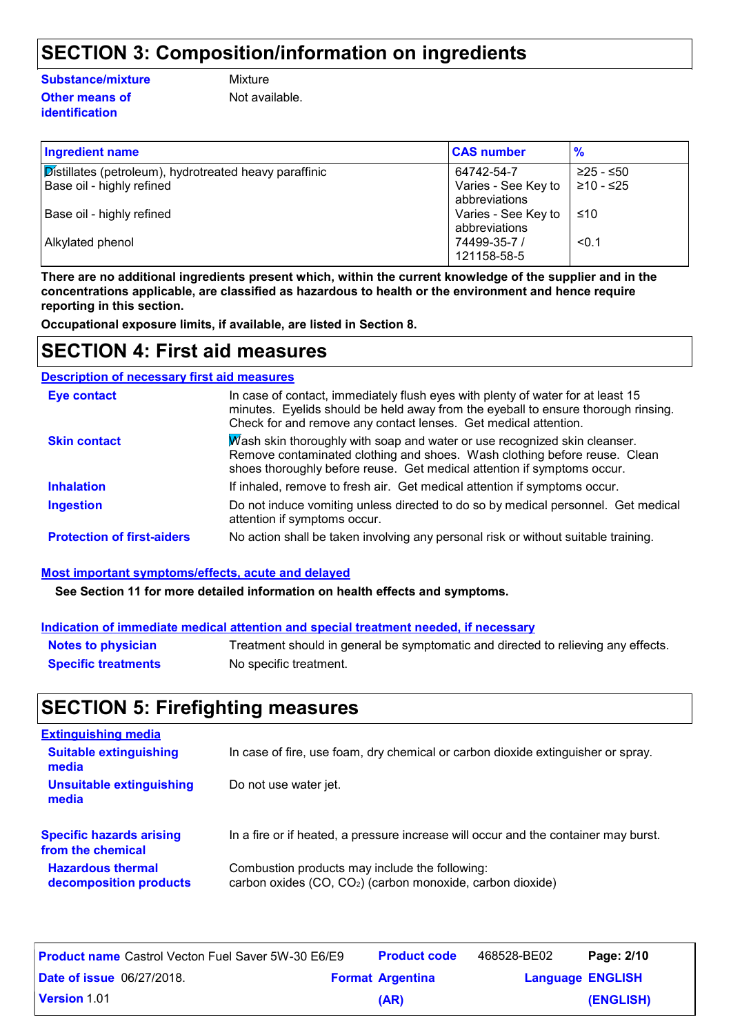# **SECTION 3: Composition/information on ingredients**

#### **Substance/mixture**

### **Other means of identification**

**Mixture** 

Not available.

| <b>Ingredient name</b>                                 | <b>CAS number</b>                    | $\frac{9}{6}$ |
|--------------------------------------------------------|--------------------------------------|---------------|
| Distillates (petroleum), hydrotreated heavy paraffinic | 64742-54-7                           | $≥25 - ≤50$   |
| Base oil - highly refined                              | Varies - See Key to<br>abbreviations | ≥10 - ≤25     |
| Base oil - highly refined                              | Varies - See Key to<br>abbreviations | ≤10           |
| Alkylated phenol                                       | 74499-35-7 /<br>121158-58-5          | < 0.1         |

**There are no additional ingredients present which, within the current knowledge of the supplier and in the concentrations applicable, are classified as hazardous to health or the environment and hence require reporting in this section.**

**Occupational exposure limits, if available, are listed in Section 8.**

### **SECTION 4: First aid measures**

### **Description of necessary first aid measures**

| <b>Eye contact</b>                | In case of contact, immediately flush eyes with plenty of water for at least 15<br>minutes. Eyelids should be held away from the eyeball to ensure thorough rinsing.<br>Check for and remove any contact lenses. Get medical attention. |
|-----------------------------------|-----------------------------------------------------------------------------------------------------------------------------------------------------------------------------------------------------------------------------------------|
| <b>Skin contact</b>               | Wash skin thoroughly with soap and water or use recognized skin cleanser.<br>Remove contaminated clothing and shoes. Wash clothing before reuse. Clean<br>shoes thoroughly before reuse. Get medical attention if symptoms occur.       |
| <b>Inhalation</b>                 | If inhaled, remove to fresh air. Get medical attention if symptoms occur.                                                                                                                                                               |
| <b>Ingestion</b>                  | Do not induce vomiting unless directed to do so by medical personnel. Get medical<br>attention if symptoms occur.                                                                                                                       |
| <b>Protection of first-aiders</b> | No action shall be taken involving any personal risk or without suitable training.                                                                                                                                                      |

### **Most important symptoms/effects, acute and delayed**

**See Section 11 for more detailed information on health effects and symptoms.**

|                            | Indication of immediate medical attention and special treatment needed, if necessary |
|----------------------------|--------------------------------------------------------------------------------------|
| <b>Notes to physician</b>  | Treatment should in general be symptomatic and directed to relieving any effects.    |
| <b>Specific treatments</b> | No specific treatment.                                                               |

### **SECTION 5: Firefighting measures**

| <b>Extinguishing media</b>                           |                                                                                                                          |
|------------------------------------------------------|--------------------------------------------------------------------------------------------------------------------------|
| <b>Suitable extinguishing</b><br>media               | In case of fire, use foam, dry chemical or carbon dioxide extinguisher or spray.                                         |
| <b>Unsuitable extinguishing</b><br>media             | Do not use water jet.                                                                                                    |
| <b>Specific hazards arising</b><br>from the chemical | In a fire or if heated, a pressure increase will occur and the container may burst.                                      |
| <b>Hazardous thermal</b><br>decomposition products   | Combustion products may include the following:<br>carbon oxides (CO, CO <sub>2</sub> ) (carbon monoxide, carbon dioxide) |

| <b>Product name</b> Castrol Vecton Fuel Saver 5W-30 E6/E9 |  | <b>Product code</b>     | 468528-BE02             | Page: 2/10 |
|-----------------------------------------------------------|--|-------------------------|-------------------------|------------|
| <b>Date of issue 06/27/2018.</b>                          |  | <b>Format Argentina</b> | <b>Language ENGLISH</b> |            |
| <b>Version 1.01</b>                                       |  | (AR)                    |                         | (ENGLISH)  |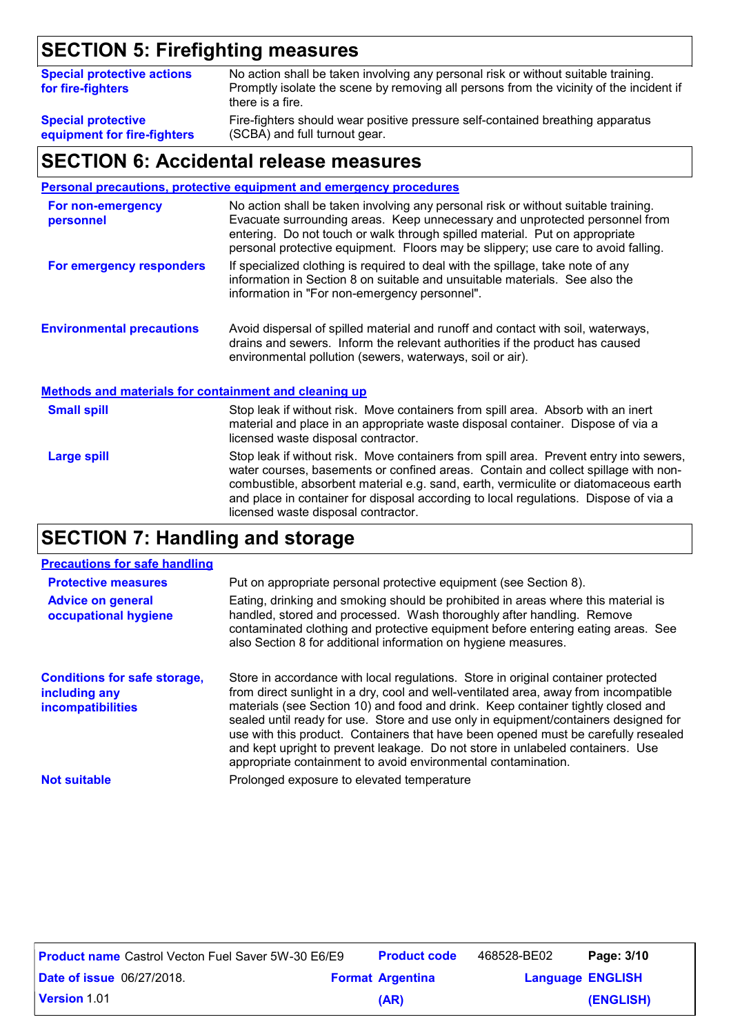# **SECTION 5: Firefighting measures**

| <b>Special protective actions</b><br>for fire-fighters | No action shall be taken involving any personal risk or without suitable training.<br>Promptly isolate the scene by removing all persons from the vicinity of the incident if<br>there is a fire. |
|--------------------------------------------------------|---------------------------------------------------------------------------------------------------------------------------------------------------------------------------------------------------|
| <b>Special protective</b>                              | Fire-fighters should wear positive pressure self-contained breathing apparatus                                                                                                                    |
| equipment for fire-fighters                            | (SCBA) and full turnout gear.                                                                                                                                                                     |

### **SECTION 6: Accidental release measures**

#### **Personal precautions, protective equipment and emergency procedures**

| For non-emergency<br>personnel                               | No action shall be taken involving any personal risk or without suitable training.<br>Evacuate surrounding areas. Keep unnecessary and unprotected personnel from<br>entering. Do not touch or walk through spilled material. Put on appropriate<br>personal protective equipment. Floors may be slippery; use care to avoid falling.                                                              |
|--------------------------------------------------------------|----------------------------------------------------------------------------------------------------------------------------------------------------------------------------------------------------------------------------------------------------------------------------------------------------------------------------------------------------------------------------------------------------|
| For emergency responders                                     | If specialized clothing is required to deal with the spillage, take note of any<br>information in Section 8 on suitable and unsuitable materials. See also the<br>information in "For non-emergency personnel".                                                                                                                                                                                    |
| <b>Environmental precautions</b>                             | Avoid dispersal of spilled material and runoff and contact with soil, waterways,<br>drains and sewers. Inform the relevant authorities if the product has caused<br>environmental pollution (sewers, waterways, soil or air).                                                                                                                                                                      |
| <b>Methods and materials for containment and cleaning up</b> |                                                                                                                                                                                                                                                                                                                                                                                                    |
| <b>Small spill</b>                                           | Stop leak if without risk. Move containers from spill area. Absorb with an inert<br>material and place in an appropriate waste disposal container. Dispose of via a<br>licensed waste disposal contractor.                                                                                                                                                                                         |
| <b>Large spill</b>                                           | Stop leak if without risk. Move containers from spill area. Prevent entry into sewers,<br>water courses, basements or confined areas. Contain and collect spillage with non-<br>combustible, absorbent material e.g. sand, earth, vermiculite or diatomaceous earth<br>and place in container for disposal according to local regulations. Dispose of via a<br>licensed waste disposal contractor. |

# **SECTION 7: Handling and storage**

### **Precautions for safe handling**

| <b>Protective measures</b><br><b>Advice on general</b><br>occupational hygiene   | Put on appropriate personal protective equipment (see Section 8).<br>Eating, drinking and smoking should be prohibited in areas where this material is<br>handled, stored and processed. Wash thoroughly after handling. Remove<br>contaminated clothing and protective equipment before entering eating areas. See<br>also Section 8 for additional information on hygiene measures.                                                                                                                                                                                                         |
|----------------------------------------------------------------------------------|-----------------------------------------------------------------------------------------------------------------------------------------------------------------------------------------------------------------------------------------------------------------------------------------------------------------------------------------------------------------------------------------------------------------------------------------------------------------------------------------------------------------------------------------------------------------------------------------------|
| <b>Conditions for safe storage,</b><br>including any<br><i>incompatibilities</i> | Store in accordance with local regulations. Store in original container protected<br>from direct sunlight in a dry, cool and well-ventilated area, away from incompatible<br>materials (see Section 10) and food and drink. Keep container tightly closed and<br>sealed until ready for use. Store and use only in equipment/containers designed for<br>use with this product. Containers that have been opened must be carefully resealed<br>and kept upright to prevent leakage. Do not store in unlabeled containers. Use<br>appropriate containment to avoid environmental contamination. |
| <b>Not suitable</b>                                                              | Prolonged exposure to elevated temperature                                                                                                                                                                                                                                                                                                                                                                                                                                                                                                                                                    |

| <b>Product name</b> Castrol Vecton Fuel Saver 5W-30 E6/E9 |  | <b>Product code</b>     | 468528-BE02             | Page: 3/10 |
|-----------------------------------------------------------|--|-------------------------|-------------------------|------------|
| <b>Date of issue 06/27/2018.</b>                          |  | <b>Format Argentina</b> | <b>Language ENGLISH</b> |            |
| <b>Version 1.01</b>                                       |  | (AR)                    |                         | (ENGLISH)  |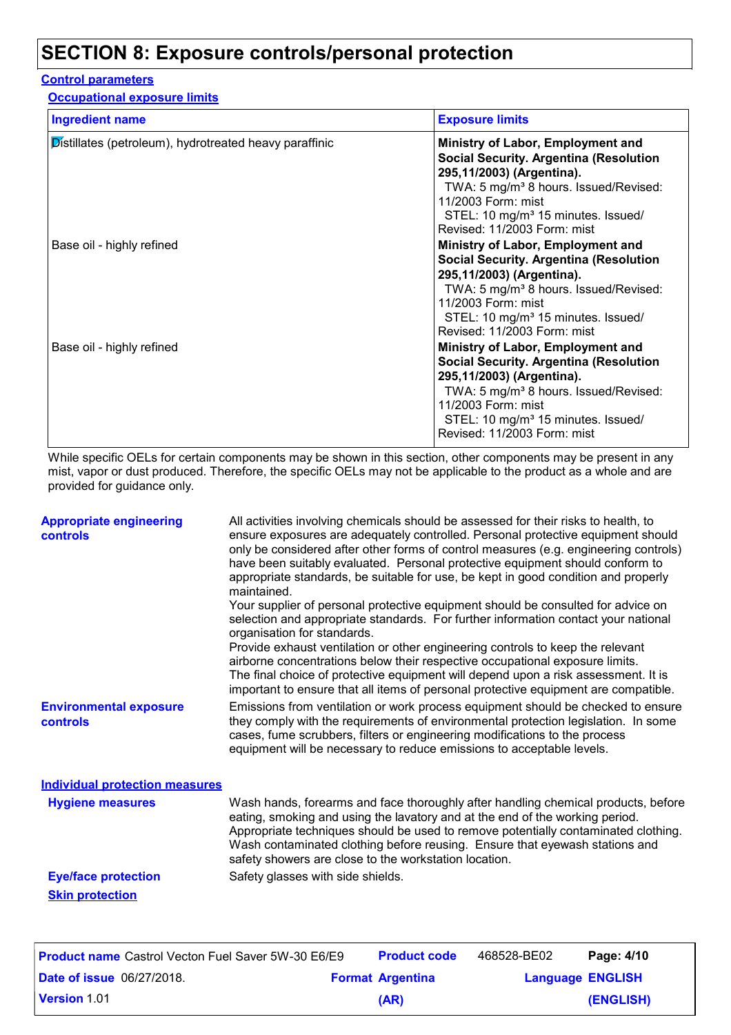## **SECTION 8: Exposure controls/personal protection**

### **Control parameters**

**Occupational exposure limits**

| <b>Ingredient name</b>                                 | <b>Exposure limits</b>                                                                                                                                                                                                                                                      |
|--------------------------------------------------------|-----------------------------------------------------------------------------------------------------------------------------------------------------------------------------------------------------------------------------------------------------------------------------|
| Distillates (petroleum), hydrotreated heavy paraffinic | Ministry of Labor, Employment and<br><b>Social Security. Argentina (Resolution</b><br>295,11/2003) (Argentina).<br>TWA: 5 mg/m <sup>3</sup> 8 hours. Issued/Revised:<br>11/2003 Form: mist<br>STEL: 10 mg/m <sup>3</sup> 15 minutes. Issued/<br>Revised: 11/2003 Form: mist |
| Base oil - highly refined                              | Ministry of Labor, Employment and<br><b>Social Security. Argentina (Resolution</b><br>295,11/2003) (Argentina).<br>TWA: 5 mg/m <sup>3</sup> 8 hours. Issued/Revised:<br>11/2003 Form: mist<br>STEL: 10 mg/m <sup>3</sup> 15 minutes. Issued/<br>Revised: 11/2003 Form: mist |
| Base oil - highly refined                              | Ministry of Labor, Employment and<br><b>Social Security. Argentina (Resolution</b><br>295,11/2003) (Argentina).<br>TWA: 5 mg/m <sup>3</sup> 8 hours. Issued/Revised:<br>11/2003 Form: mist<br>STEL: 10 mg/m <sup>3</sup> 15 minutes. Issued/<br>Revised: 11/2003 Form: mist |

While specific OELs for certain components may be shown in this section, other components may be present in any mist, vapor or dust produced. Therefore, the specific OELs may not be applicable to the product as a whole and are provided for guidance only.

| <b>Appropriate engineering</b><br>controls                | All activities involving chemicals should be assessed for their risks to health, to<br>ensure exposures are adequately controlled. Personal protective equipment should<br>only be considered after other forms of control measures (e.g. engineering controls)<br>have been suitably evaluated. Personal protective equipment should conform to<br>appropriate standards, be suitable for use, be kept in good condition and properly<br>maintained. |
|-----------------------------------------------------------|-------------------------------------------------------------------------------------------------------------------------------------------------------------------------------------------------------------------------------------------------------------------------------------------------------------------------------------------------------------------------------------------------------------------------------------------------------|
|                                                           | Your supplier of personal protective equipment should be consulted for advice on<br>selection and appropriate standards. For further information contact your national<br>organisation for standards.                                                                                                                                                                                                                                                 |
|                                                           | Provide exhaust ventilation or other engineering controls to keep the relevant<br>airborne concentrations below their respective occupational exposure limits.<br>The final choice of protective equipment will depend upon a risk assessment. It is<br>important to ensure that all items of personal protective equipment are compatible.                                                                                                           |
| <b>Environmental exposure</b><br><b>controls</b>          | Emissions from ventilation or work process equipment should be checked to ensure<br>they comply with the requirements of environmental protection legislation. In some<br>cases, fume scrubbers, filters or engineering modifications to the process<br>equipment will be necessary to reduce emissions to acceptable levels.                                                                                                                         |
| <b>Individual protection measures</b>                     |                                                                                                                                                                                                                                                                                                                                                                                                                                                       |
| <b>Hygiene measures</b>                                   | Wash hands, forearms and face thoroughly after handling chemical products, before<br>eating, smoking and using the lavatory and at the end of the working period.<br>Appropriate techniques should be used to remove potentially contaminated clothing.<br>Wash contaminated clothing before reusing. Ensure that eyewash stations and<br>safety showers are close to the workstation location.                                                       |
| <b>Eye/face protection</b>                                | Safety glasses with side shields.                                                                                                                                                                                                                                                                                                                                                                                                                     |
| <b>Skin protection</b>                                    |                                                                                                                                                                                                                                                                                                                                                                                                                                                       |
| <b>Broduct name Castrol Vector Fuel Sover 5ML30 FGIFO</b> | $468528$ -RE02<br>$P$ <sub>200</sub> $\cdot$ $4/10$<br><b>Product code</b>                                                                                                                                                                                                                                                                                                                                                                            |

| <b>Product name</b> Castrol Vecton Fuel Saver 5W-30 E6/E9 | <b>Product code</b>     | 468528-BE02             | Page: 4/10 |
|-----------------------------------------------------------|-------------------------|-------------------------|------------|
| <b>Date of issue 06/27/2018.</b>                          | <b>Format Argentina</b> | <b>Language ENGLISH</b> |            |
| <b>Version 1.01</b>                                       | (AR)                    |                         | (ENGLISH)  |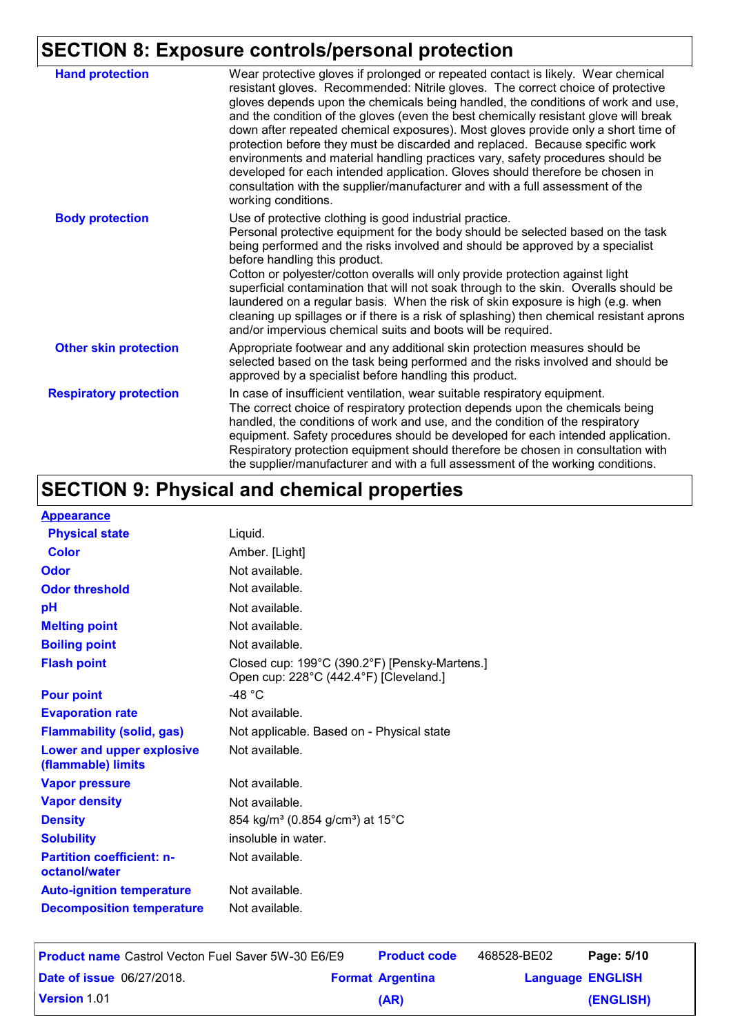# **SECTION 8: Exposure controls/personal protection**

| <b>Hand protection</b>        | Wear protective gloves if prolonged or repeated contact is likely. Wear chemical<br>resistant gloves. Recommended: Nitrile gloves. The correct choice of protective<br>gloves depends upon the chemicals being handled, the conditions of work and use,<br>and the condition of the gloves (even the best chemically resistant glove will break<br>down after repeated chemical exposures). Most gloves provide only a short time of<br>protection before they must be discarded and replaced. Because specific work<br>environments and material handling practices vary, safety procedures should be<br>developed for each intended application. Gloves should therefore be chosen in<br>consultation with the supplier/manufacturer and with a full assessment of the<br>working conditions. |
|-------------------------------|-------------------------------------------------------------------------------------------------------------------------------------------------------------------------------------------------------------------------------------------------------------------------------------------------------------------------------------------------------------------------------------------------------------------------------------------------------------------------------------------------------------------------------------------------------------------------------------------------------------------------------------------------------------------------------------------------------------------------------------------------------------------------------------------------|
| <b>Body protection</b>        | Use of protective clothing is good industrial practice.<br>Personal protective equipment for the body should be selected based on the task<br>being performed and the risks involved and should be approved by a specialist<br>before handling this product.<br>Cotton or polyester/cotton overalls will only provide protection against light<br>superficial contamination that will not soak through to the skin. Overalls should be<br>laundered on a regular basis. When the risk of skin exposure is high (e.g. when<br>cleaning up spillages or if there is a risk of splashing) then chemical resistant aprons<br>and/or impervious chemical suits and boots will be required.                                                                                                           |
| <b>Other skin protection</b>  | Appropriate footwear and any additional skin protection measures should be<br>selected based on the task being performed and the risks involved and should be<br>approved by a specialist before handling this product.                                                                                                                                                                                                                                                                                                                                                                                                                                                                                                                                                                         |
| <b>Respiratory protection</b> | In case of insufficient ventilation, wear suitable respiratory equipment.<br>The correct choice of respiratory protection depends upon the chemicals being<br>handled, the conditions of work and use, and the condition of the respiratory<br>equipment. Safety procedures should be developed for each intended application.<br>Respiratory protection equipment should therefore be chosen in consultation with<br>the supplier/manufacturer and with a full assessment of the working conditions.                                                                                                                                                                                                                                                                                           |

# **SECTION 9: Physical and chemical properties**

| <b>Appearance</b>                                 |                                                                                         |
|---------------------------------------------------|-----------------------------------------------------------------------------------------|
| <b>Physical state</b>                             | Liquid.                                                                                 |
| <b>Color</b>                                      | Amber. [Light]                                                                          |
| Odor                                              | Not available.                                                                          |
| <b>Odor threshold</b>                             | Not available.                                                                          |
| рH                                                | Not available.                                                                          |
| <b>Melting point</b>                              | Not available.                                                                          |
| <b>Boiling point</b>                              | Not available.                                                                          |
| <b>Flash point</b>                                | Closed cup: 199°C (390.2°F) [Pensky-Martens.]<br>Open cup: 228°C (442.4°F) [Cleveland.] |
| <b>Pour point</b>                                 | -48 °C                                                                                  |
| <b>Evaporation rate</b>                           | Not available.                                                                          |
| <b>Flammability (solid, gas)</b>                  | Not applicable. Based on - Physical state                                               |
| Lower and upper explosive<br>(flammable) limits   | Not available.                                                                          |
| <b>Vapor pressure</b>                             | Not available.                                                                          |
| <b>Vapor density</b>                              | Not available.                                                                          |
| <b>Density</b>                                    | 854 kg/m <sup>3</sup> (0.854 g/cm <sup>3</sup> ) at 15°C                                |
| <b>Solubility</b>                                 | insoluble in water.                                                                     |
| <b>Partition coefficient: n-</b><br>octanol/water | Not available.                                                                          |
| <b>Auto-ignition temperature</b>                  | Not available.                                                                          |
| <b>Decomposition temperature</b>                  | Not available.                                                                          |

| <b>Product name</b> Castrol Vecton Fuel Saver 5W-30 E6/E9 | <b>Product code</b>     | 468528-BE02             | Page: 5/10 |
|-----------------------------------------------------------|-------------------------|-------------------------|------------|
| <b>Date of issue 06/27/2018.</b>                          | <b>Format Argentina</b> | <b>Language ENGLISH</b> |            |
| <b>Version 1.01</b>                                       | (AR)                    |                         | (ENGLISH)  |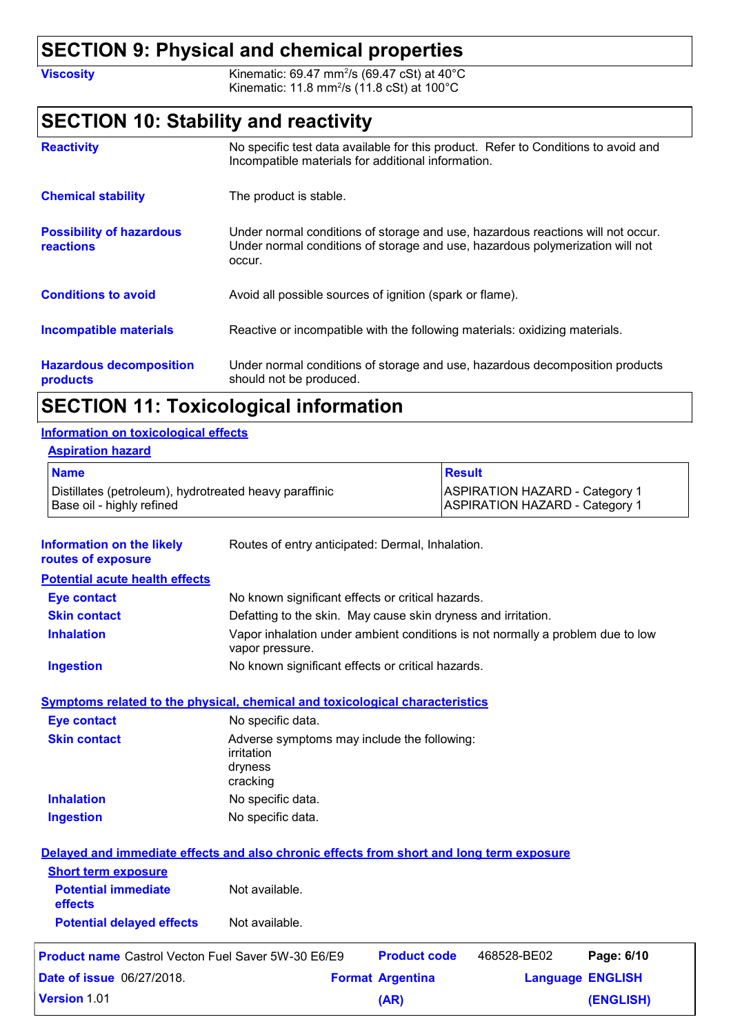### **SECTION 9: Physical and chemical properties**

**Viscosity Kinematic: 69.47 mm<sup>2</sup>/s (69.47 cSt) at 40°C** Kinematic: 11.8 mm<sup>2</sup>/s (11.8 cSt) at 100°C

# **SECTION 10: Stability and reactivity**

| <b>Reactivity</b>                            | No specific test data available for this product. Refer to Conditions to avoid and<br>Incompatible materials for additional information.                                   |
|----------------------------------------------|----------------------------------------------------------------------------------------------------------------------------------------------------------------------------|
| <b>Chemical stability</b>                    | The product is stable.                                                                                                                                                     |
| <b>Possibility of hazardous</b><br>reactions | Under normal conditions of storage and use, hazardous reactions will not occur.<br>Under normal conditions of storage and use, hazardous polymerization will not<br>occur. |
| <b>Conditions to avoid</b>                   | Avoid all possible sources of ignition (spark or flame).                                                                                                                   |
| <b>Incompatible materials</b>                | Reactive or incompatible with the following materials: oxidizing materials.                                                                                                |
| <b>Hazardous decomposition</b><br>products   | Under normal conditions of storage and use, hazardous decomposition products<br>should not be produced.                                                                    |

# **SECTION 11: Toxicological information**

### **Information on toxicological effects**

| <b>Aspiration hazard</b>                                                            |                                                                                |
|-------------------------------------------------------------------------------------|--------------------------------------------------------------------------------|
| <b>Name</b>                                                                         | Result                                                                         |
| Distillates (petroleum), hydrotreated heavy paraffinic<br>Base oil - highly refined | <b>ASPIRATION HAZARD - Category 1</b><br><b>ASPIRATION HAZARD - Category 1</b> |

| <b>Information on the likely</b><br>routes of exposure                                   | Routes of entry anticipated: Dermal, Inhalation.                                                  |                         |             |                         |
|------------------------------------------------------------------------------------------|---------------------------------------------------------------------------------------------------|-------------------------|-------------|-------------------------|
| <b>Potential acute health effects</b>                                                    |                                                                                                   |                         |             |                         |
| <b>Eye contact</b>                                                                       | No known significant effects or critical hazards.                                                 |                         |             |                         |
| <b>Skin contact</b>                                                                      | Defatting to the skin. May cause skin dryness and irritation.                                     |                         |             |                         |
| <b>Inhalation</b>                                                                        | Vapor inhalation under ambient conditions is not normally a problem due to low<br>vapor pressure. |                         |             |                         |
| <b>Ingestion</b>                                                                         | No known significant effects or critical hazards.                                                 |                         |             |                         |
| <b>Symptoms related to the physical, chemical and toxicological characteristics</b>      |                                                                                                   |                         |             |                         |
| <b>Eye contact</b>                                                                       | No specific data.                                                                                 |                         |             |                         |
| <b>Skin contact</b>                                                                      | Adverse symptoms may include the following:<br>irritation<br>dryness<br>cracking                  |                         |             |                         |
| <b>Inhalation</b>                                                                        | No specific data.                                                                                 |                         |             |                         |
| <b>Ingestion</b>                                                                         | No specific data.                                                                                 |                         |             |                         |
| Delayed and immediate effects and also chronic effects from short and long term exposure |                                                                                                   |                         |             |                         |
| <b>Short term exposure</b><br><b>Potential immediate</b><br>effects                      | Not available.                                                                                    |                         |             |                         |
| <b>Potential delayed effects</b>                                                         | Not available.                                                                                    |                         |             |                         |
| <b>Product name</b> Castrol Vecton Fuel Saver 5W-30 E6/E9                                |                                                                                                   | <b>Product code</b>     | 468528-BE02 | Page: 6/10              |
| <b>Date of issue 06/27/2018.</b>                                                         |                                                                                                   | <b>Format Argentina</b> |             | <b>Language ENGLISH</b> |
| <b>Version 1.01</b>                                                                      |                                                                                                   | (AR)                    |             | (ENGLISH)               |
|                                                                                          |                                                                                                   |                         |             |                         |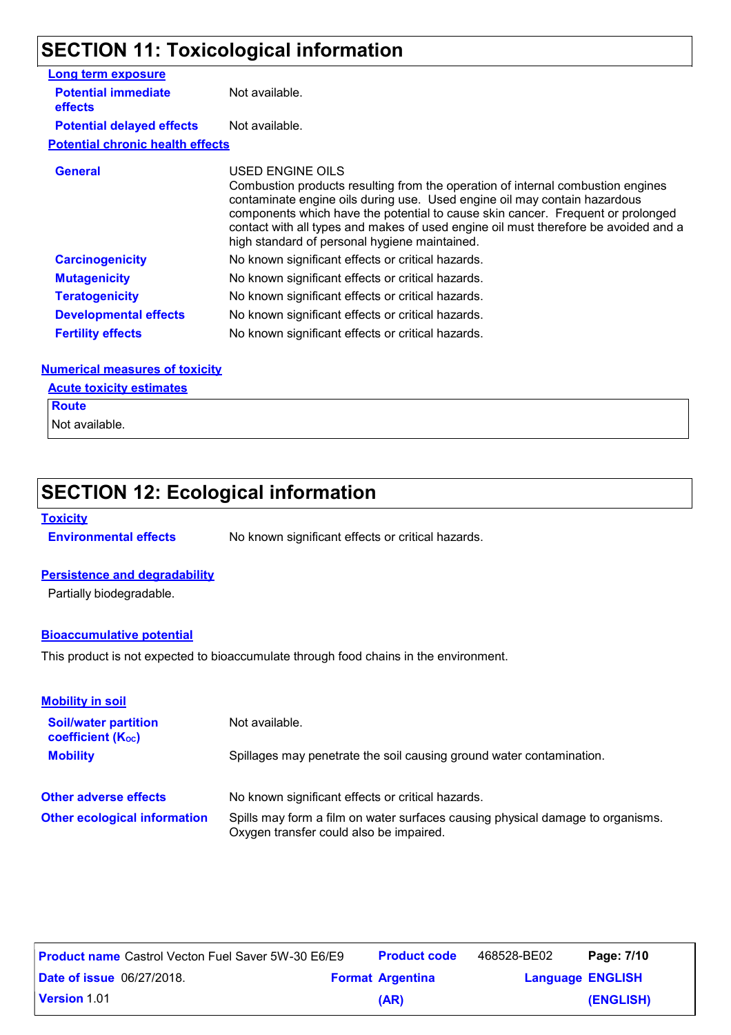# **SECTION 11: Toxicological information**

| <b>Long term exposure</b>               |                                            |
|-----------------------------------------|--------------------------------------------|
| <b>Potential immediate</b><br>effects   | Not available.                             |
| <b>Potential delayed effects</b>        | Not available.                             |
| <b>Potential chronic health effects</b> |                                            |
| <b>General</b>                          | <b>USED ENGINE OIL</b><br>Cambuotian pradu |

USED ENGINE OILS Combustion products resulting from the operation of internal combustion engines contaminate engine oils during use. Used engine oil may contain hazardous components which have the potential to cause skin cancer. Frequent or prolonged contact with all types and makes of used engine oil must therefore be avoided and a high standard of personal hygiene maintained. **Carcinogenicity** No known significant effects or critical hazards. **Mutagenicity** No known significant effects or critical hazards. **Teratogenicity** No known significant effects or critical hazards. **Developmental effects** No known significant effects or critical hazards. **Fertility effects** No known significant effects or critical hazards.

### **Numerical measures of toxicity**

### **Acute toxicity estimates**

**Route**

Not available.

## **SECTION 12: Ecological information**

### **Toxicity**

**Environmental effects** No known significant effects or critical hazards.

### **Persistence and degradability**

Partially biodegradable.

### **Bioaccumulative potential**

This product is not expected to bioaccumulate through food chains in the environment.

| <b>Mobility in soil</b>                                 |                                                                                                                           |
|---------------------------------------------------------|---------------------------------------------------------------------------------------------------------------------------|
| <b>Soil/water partition</b><br><b>coefficient (Koc)</b> | Not available.                                                                                                            |
| <b>Mobility</b>                                         | Spillages may penetrate the soil causing ground water contamination.                                                      |
| <b>Other adverse effects</b>                            | No known significant effects or critical hazards.                                                                         |
| <b>Other ecological information</b>                     | Spills may form a film on water surfaces causing physical damage to organisms.<br>Oxygen transfer could also be impaired. |

| <b>Product name</b> Castrol Vecton Fuel Saver 5W-30 E6/E9 |  | <b>Product code</b>     | 468528-BE02             | Page: 7/10 |
|-----------------------------------------------------------|--|-------------------------|-------------------------|------------|
| <b>Date of issue 06/27/2018.</b>                          |  | <b>Format Argentina</b> | <b>Language ENGLISH</b> |            |
| <b>Version 1.01</b>                                       |  | (AR)                    |                         | (ENGLISH)  |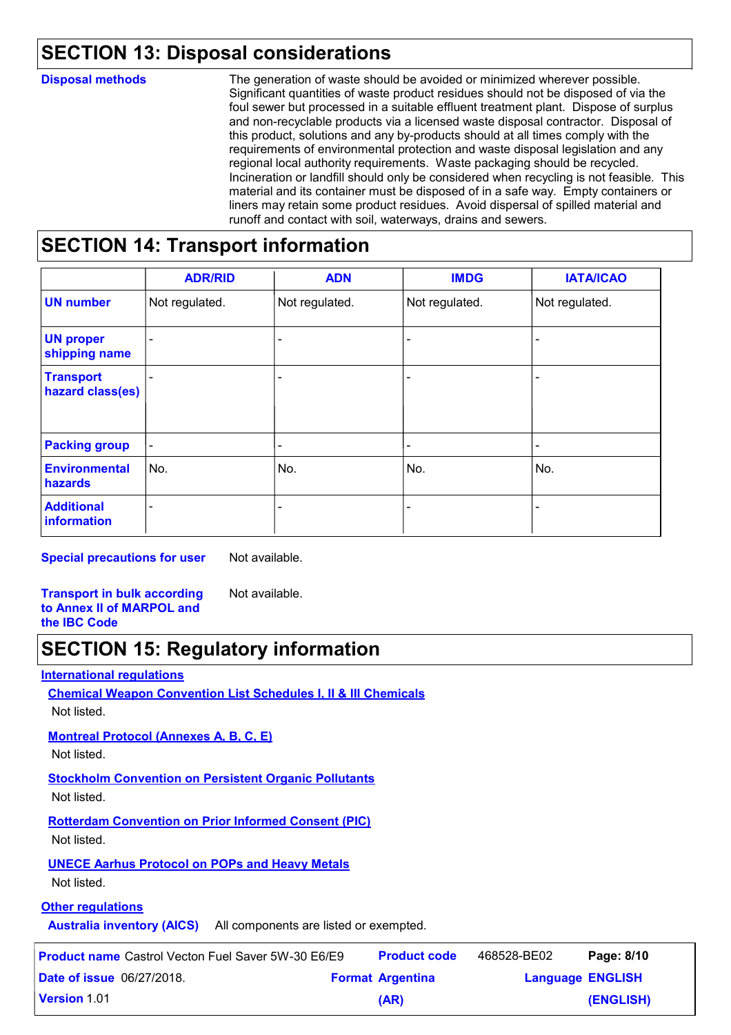# **SECTION 13: Disposal considerations**

| <b>Disposal methods</b> | The generation of waste should be avoided or minimized wherever possible.<br>Significant quantities of waste product residues should not be disposed of via the<br>foul sewer but processed in a suitable effluent treatment plant. Dispose of surplus<br>and non-recyclable products via a licensed waste disposal contractor. Disposal of<br>this product, solutions and any by-products should at all times comply with the<br>requirements of environmental protection and waste disposal legislation and any<br>regional local authority requirements. Waste packaging should be recycled.<br>Incineration or landfill should only be considered when recycling is not feasible. This<br>material and its container must be disposed of in a safe way. Empty containers or<br>liners may retain some product residues. Avoid dispersal of spilled material and |
|-------------------------|---------------------------------------------------------------------------------------------------------------------------------------------------------------------------------------------------------------------------------------------------------------------------------------------------------------------------------------------------------------------------------------------------------------------------------------------------------------------------------------------------------------------------------------------------------------------------------------------------------------------------------------------------------------------------------------------------------------------------------------------------------------------------------------------------------------------------------------------------------------------|
|                         | runoff and contact with soil, waterways, drains and sewers.                                                                                                                                                                                                                                                                                                                                                                                                                                                                                                                                                                                                                                                                                                                                                                                                         |

### **SECTION 14: Transport information**

|                                      | <b>ADR/RID</b>           | <b>ADN</b>      | <b>IMDG</b>              | <b>IATA/ICAO</b>         |
|--------------------------------------|--------------------------|-----------------|--------------------------|--------------------------|
| <b>UN number</b>                     | Not regulated.           | Not regulated.  | Not regulated.           | Not regulated.           |
| <b>UN proper</b><br>shipping name    | $\overline{\phantom{0}}$ | ÷               | $\overline{\phantom{0}}$ |                          |
| <b>Transport</b><br>hazard class(es) |                          |                 |                          |                          |
| <b>Packing group</b>                 | $\blacksquare$           | $\qquad \qquad$ |                          | $\overline{\phantom{0}}$ |
| <b>Environmental</b><br>hazards      | No.                      | No.             | No.                      | No.                      |
| <b>Additional</b><br>information     | $\overline{\phantom{a}}$ | ٠               |                          | $\overline{\phantom{0}}$ |

**Special precautions for user** Not available.

**Transport in bulk according to Annex II of MARPOL and the IBC Code** Not available.

### **SECTION 15: Regulatory information**

|--|

| <b>Chemical Weapon Convention List Schedules I, II &amp; III Chemicals</b><br>Not listed. |
|-------------------------------------------------------------------------------------------|
| <b>Montreal Protocol (Annexes A, B, C, E)</b><br>Not listed.                              |
| <b>Stockholm Convention on Persistent Organic Pollutants</b><br>Not listed.               |
| <b>Rotterdam Convention on Prior Informed Consent (PIC)</b><br>Not listed.                |
| <b>UNECE Aarhus Protocol on POPs and Heavy Metals</b><br>Not listed.                      |
| Othar ragulatione                                                                         |

#### **Other regulations**

**Australia inventory (AICS)** All components are listed or exempted.

| Product name Castrol Vecton Fuel Saver 5W-30 E6/E9 | <b>Product code</b>     | 468528-BE02             | Page: 8/10 |  |
|----------------------------------------------------|-------------------------|-------------------------|------------|--|
| l <b>Date of issue</b> 06/27/2018.                 | <b>Format Argentina</b> | <b>Language ENGLISH</b> |            |  |
| l <b>Version</b> 1.01                              | (AR)                    |                         | (ENGLISH)  |  |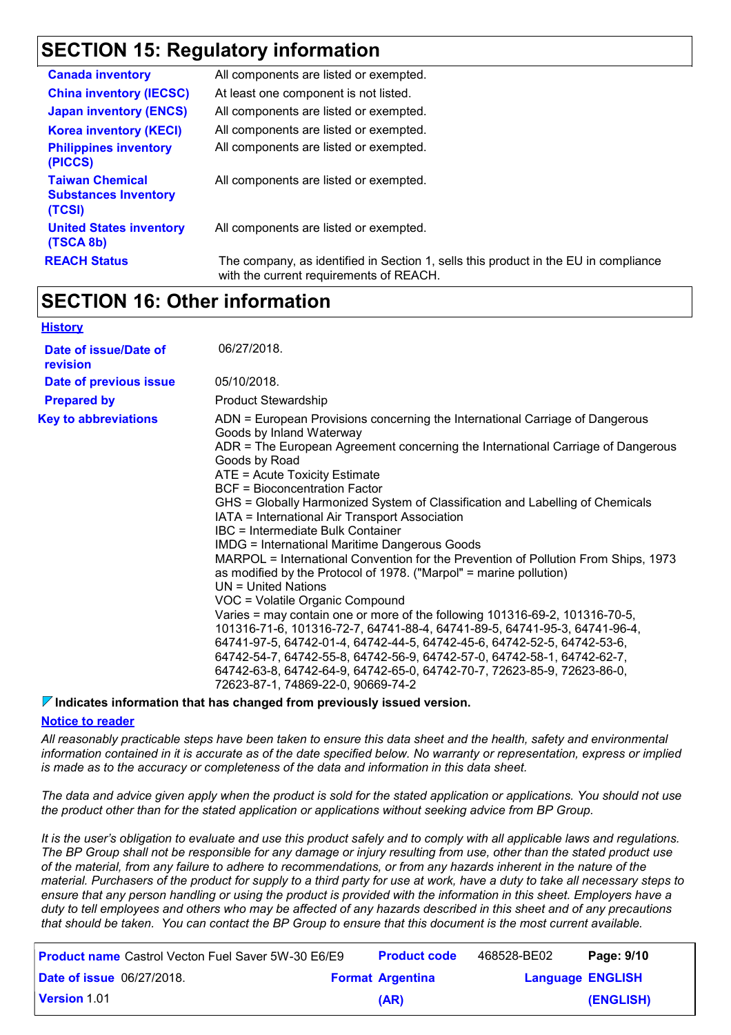# **SECTION 15: Regulatory information**

| <b>Canada inventory</b>                                         | All components are listed or exempted.                                                                                         |
|-----------------------------------------------------------------|--------------------------------------------------------------------------------------------------------------------------------|
| <b>China inventory (IECSC)</b>                                  | At least one component is not listed.                                                                                          |
| <b>Japan inventory (ENCS)</b>                                   | All components are listed or exempted.                                                                                         |
| <b>Korea inventory (KECI)</b>                                   | All components are listed or exempted.                                                                                         |
| <b>Philippines inventory</b><br>(PICCS)                         | All components are listed or exempted.                                                                                         |
| <b>Taiwan Chemical</b><br><b>Substances Inventory</b><br>(TCSI) | All components are listed or exempted.                                                                                         |
| <b>United States inventory</b><br>(TSCA 8b)                     | All components are listed or exempted.                                                                                         |
| <b>REACH Status</b>                                             | The company, as identified in Section 1, sells this product in the EU in compliance<br>with the current requirements of REACH. |

### **SECTION 16: Other information**

#### **History**

| Date of issue/Date of<br>revision | 06/27/2018.                                                                                                                                                                                                                                                                                                                                                                                                                                                                                                                                                                                                                                                                                                                                                                                                                                                                                                                                                                                                                                                                                                                                                               |
|-----------------------------------|---------------------------------------------------------------------------------------------------------------------------------------------------------------------------------------------------------------------------------------------------------------------------------------------------------------------------------------------------------------------------------------------------------------------------------------------------------------------------------------------------------------------------------------------------------------------------------------------------------------------------------------------------------------------------------------------------------------------------------------------------------------------------------------------------------------------------------------------------------------------------------------------------------------------------------------------------------------------------------------------------------------------------------------------------------------------------------------------------------------------------------------------------------------------------|
| Date of previous issue            | 05/10/2018.                                                                                                                                                                                                                                                                                                                                                                                                                                                                                                                                                                                                                                                                                                                                                                                                                                                                                                                                                                                                                                                                                                                                                               |
| <b>Prepared by</b>                | <b>Product Stewardship</b>                                                                                                                                                                                                                                                                                                                                                                                                                                                                                                                                                                                                                                                                                                                                                                                                                                                                                                                                                                                                                                                                                                                                                |
| <b>Key to abbreviations</b>       | ADN = European Provisions concerning the International Carriage of Dangerous<br>Goods by Inland Waterway<br>ADR = The European Agreement concerning the International Carriage of Dangerous<br>Goods by Road<br>ATE = Acute Toxicity Estimate<br>BCF = Bioconcentration Factor<br>GHS = Globally Harmonized System of Classification and Labelling of Chemicals<br>IATA = International Air Transport Association<br>IBC = Intermediate Bulk Container<br><b>IMDG = International Maritime Dangerous Goods</b><br>MARPOL = International Convention for the Prevention of Pollution From Ships, 1973<br>as modified by the Protocol of 1978. ("Marpol" = marine pollution)<br>$UN = United Nations$<br>VOC = Volatile Organic Compound<br>Varies = may contain one or more of the following 101316-69-2, 101316-70-5,<br>101316-71-6, 101316-72-7, 64741-88-4, 64741-89-5, 64741-95-3, 64741-96-4,<br>64741-97-5, 64742-01-4, 64742-44-5, 64742-45-6, 64742-52-5, 64742-53-6,<br>64742-54-7, 64742-55-8, 64742-56-9, 64742-57-0, 64742-58-1, 64742-62-7,<br>64742-63-8, 64742-64-9, 64742-65-0, 64742-70-7, 72623-85-9, 72623-86-0,<br>72623-87-1, 74869-22-0, 90669-74-2 |

#### *V* **Indicates information that has changed from previously issued version.**

#### **Notice to reader**

*All reasonably practicable steps have been taken to ensure this data sheet and the health, safety and environmental information contained in it is accurate as of the date specified below. No warranty or representation, express or implied is made as to the accuracy or completeness of the data and information in this data sheet.*

*The data and advice given apply when the product is sold for the stated application or applications. You should not use the product other than for the stated application or applications without seeking advice from BP Group.*

*It is the user's obligation to evaluate and use this product safely and to comply with all applicable laws and regulations. The BP Group shall not be responsible for any damage or injury resulting from use, other than the stated product use of the material, from any failure to adhere to recommendations, or from any hazards inherent in the nature of the material. Purchasers of the product for supply to a third party for use at work, have a duty to take all necessary steps to ensure that any person handling or using the product is provided with the information in this sheet. Employers have a duty to tell employees and others who may be affected of any hazards described in this sheet and of any precautions that should be taken. You can contact the BP Group to ensure that this document is the most current available.*

| <b>Product name</b> Castrol Vecton Fuel Saver 5W-30 E6/E9 | <b>Product code</b>     | 468528-BE02             | Page: 9/10 |
|-----------------------------------------------------------|-------------------------|-------------------------|------------|
| <b>Date of issue 06/27/2018.</b>                          | <b>Format Argentina</b> | <b>Language ENGLISH</b> |            |
| <b>Version 1.01</b>                                       | (AR)                    |                         | (ENGLISH)  |